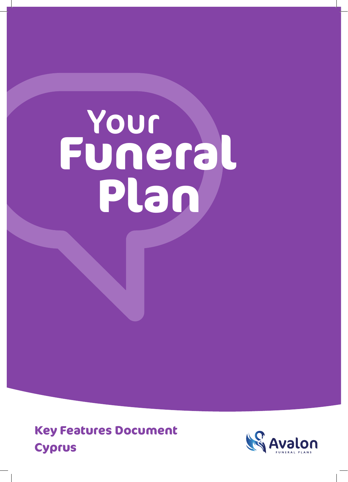# **Funeral** Your **Plan**

**Key Features Document Cyprus**

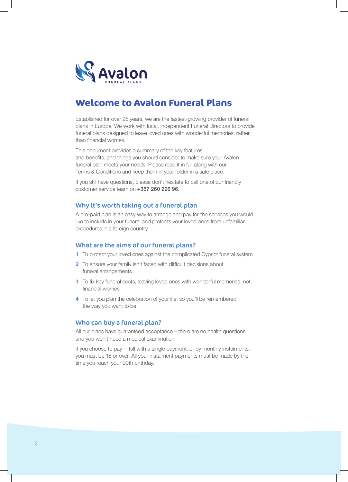

# **Welcome to Avalon Funeral Plans**

Established for over 25 years, we are the fastest-growing provider of funeral plans in Europe. We work with local, independent Funeral Directors to provide funeral plans designed to leave loved ones with wonderful memories, rather than financial worries.

This document provides a summary of the key features and benefits, and things you should consider to make sure your Avalon funeral plan meets your needs. Please read it in full along with our Terms & Conditions and keep them in your folder in a safe place.

If you still have questions, please don't hesitate to call one of our friendly customer service team on +357 260 226 96.

#### Why it's worth taking out a funeral plan

A pre-paid plan is an easy way to arrange and pay for the services you would like to include in your funeral and protects your loved ones from unfamiliar procedures in a foreign country.

#### What are the aims of our funeral plans?

- 1 To protect your loved ones against the complicated Cypriot funeral system
- 2 To ensure your family isn't faced with difficult decisions about funeral arrangements
- 3 To fix key funeral costs, leaving loved ones with wonderful memories, not financial worries
- 4 To let you plan the celebration of your life, so you'll be remembered the way you want to be

#### Who can buy a funeral plan?

All our plans have guaranteed acceptance – there are no health questions and you won't need a medical examination.

If you choose to pay in full with a single payment, or by monthly instalments, you must be 18 or over. All your instalment payments must be made by the time you reach your 90th birthday.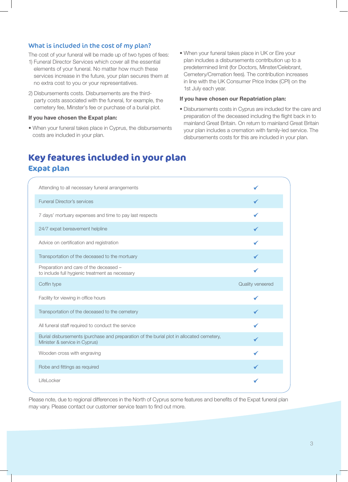# What is included in the cost of my plan?

The cost of your funeral will be made up of two types of fees:

- 1) Funeral Director Services which cover all the essential elements of your funeral. No matter how much these services increase in the future, your plan secures them at no extra cost to you or your representatives.
- 2) Disbursements costs. Disbursements are the thirdparty costs associated with the funeral, for example, the cemetery fee, Minster's fee or purchase of a burial plot.

#### **If you have chosen the Expat plan:**

- When your funeral takes place in Cyprus, the disbursements costs are included in your plan.
- When your funeral takes place in UK or Eire your plan includes a disbursements contribution up to a predetermined limit (for Doctors, Minster/Celebrant, Cemetery/Cremation fees). The contribution increases in line with the UK Consumer Price Index (CPI) on the 1st July each year.

#### **If you have chosen our Repatriation plan:**

• Disbursements costs in Cyprus are included for the care and preparation of the deceased including the flight back in to mainland Great Britain. On return to mainland Great Britain your plan includes a cremation with family-led service. The disbursements costs for this are included in your plan.

# **Key features included in your plan Expat plan**

| Attending to all necessary funeral arrangements                                                                           |                         |
|---------------------------------------------------------------------------------------------------------------------------|-------------------------|
| <b>Funeral Director's services</b>                                                                                        |                         |
| 7 days' mortuary expenses and time to pay last respects                                                                   |                         |
| 24/7 expat bereavement helpline                                                                                           |                         |
| Advice on certification and registration                                                                                  |                         |
| Transportation of the deceased to the mortuary                                                                            |                         |
| Preparation and care of the deceased -<br>to include full hygienic treatment as necessary                                 |                         |
| Coffin type                                                                                                               | <b>Quality veneered</b> |
| Facility for viewing in office hours                                                                                      |                         |
| Transportation of the deceased to the cemetery                                                                            |                         |
| All funeral staff required to conduct the service                                                                         |                         |
| Burial disbursements (purchase and preparation of the burial plot in allocated cemetery,<br>Minister & service in Cyprus) |                         |
| Wooden cross with engraving                                                                                               |                         |
| Robe and fittings as required                                                                                             |                         |
| LifeLocker                                                                                                                |                         |

Please note, due to regional differences in the North of Cyprus some features and benefits of the Expat funeral plan may vary. Please contact our customer service team to find out more.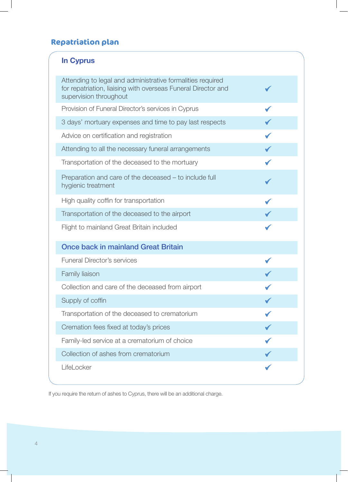# **Repatriation plan**

| <b>In Cyprus</b>                                                                                                                                      |  |
|-------------------------------------------------------------------------------------------------------------------------------------------------------|--|
| Attending to legal and administrative formalities required<br>for repatriation, liaising with overseas Funeral Director and<br>supervision throughout |  |
| Provision of Funeral Director's services in Cyprus                                                                                                    |  |
| 3 days' mortuary expenses and time to pay last respects                                                                                               |  |
| Advice on certification and registration                                                                                                              |  |
| Attending to all the necessary funeral arrangements                                                                                                   |  |
| Transportation of the deceased to the mortuary                                                                                                        |  |
| Preparation and care of the deceased - to include full<br>hygienic treatment                                                                          |  |
| High quality coffin for transportation                                                                                                                |  |
| Transportation of the deceased to the airport                                                                                                         |  |
| Flight to mainland Great Britain included                                                                                                             |  |
| <b>Once back in mainland Great Britain</b>                                                                                                            |  |
| <b>Funeral Director's services</b>                                                                                                                    |  |
| Family liaison                                                                                                                                        |  |
| Collection and care of the deceased from airport                                                                                                      |  |
| Supply of coffin                                                                                                                                      |  |
| Transportation of the deceased to crematorium                                                                                                         |  |
| Cremation fees fixed at today's prices                                                                                                                |  |
| Family-led service at a crematorium of choice                                                                                                         |  |
| Collection of ashes from crematorium                                                                                                                  |  |
| LifeLocker                                                                                                                                            |  |

If you require the return of ashes to Cyprus, there will be an additional charge.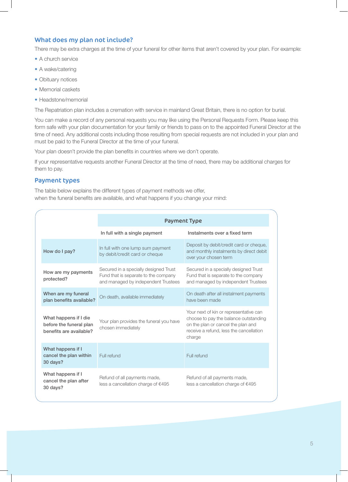# What does my plan not include?

There may be extra charges at the time of your funeral for other items that aren't covered by your plan. For example:

- A church service
- A wake/catering
- Obituary notices
- Memorial caskets
- Headstone/memorial

The Repatriation plan includes a cremation with service in mainland Great Britain, there is no option for burial.

You can make a record of any personal requests you may like using the Personal Requests Form. Please keep this form safe with your plan documentation for your family or friends to pass on to the appointed Funeral Director at the time of need. Any additional costs including those resulting from special requests are not included in your plan and must be paid to the Funeral Director at the time of your funeral.

Your plan doesn't provide the plan benefits in countries where we don't operate.

If your representative requests another Funeral Director at the time of need, there may be additional charges for them to pay.

## Payment types

The table below explains the different types of payment methods we offer, when the funeral benefits are available, and what happens if you change your mind:

|                                                                             | <b>Payment Type</b>                                                                                                  |                                                                                                                                                                            |
|-----------------------------------------------------------------------------|----------------------------------------------------------------------------------------------------------------------|----------------------------------------------------------------------------------------------------------------------------------------------------------------------------|
|                                                                             | In full with a single payment                                                                                        | Instalments over a fixed term                                                                                                                                              |
| How do I pay?                                                               | In full with one lump sum payment<br>by debit/credit card or cheque                                                  | Deposit by debit/credit card or cheque,<br>and monthly instalments by direct debit<br>over your chosen term                                                                |
| How are my payments<br>protected?                                           | Secured in a specially designed Trust<br>Fund that is separate to the company<br>and managed by independent Trustees | Secured in a specially designed Trust<br>Fund that is separate to the company<br>and managed by independent Trustees                                                       |
| When are my funeral<br>plan benefits available?                             | On death, available immediately                                                                                      | On death after all instalment payments<br>have been made                                                                                                                   |
| What happens if I die<br>before the funeral plan<br>benefits are available? | Your plan provides the funeral you have<br>chosen immediately                                                        | Your next of kin or representative can<br>choose to pay the balance outstanding<br>on the plan or cancel the plan and<br>receive a refund. less the cancellation<br>charge |
| What happens if I<br>cancel the plan within<br>30 days?                     | Full refund                                                                                                          | Full refund                                                                                                                                                                |
| What happens if I<br>cancel the plan after<br>30 days?                      | Refund of all payments made,<br>less a cancellation charge of €495                                                   | Refund of all payments made,<br>less a cancellation charge of €495                                                                                                         |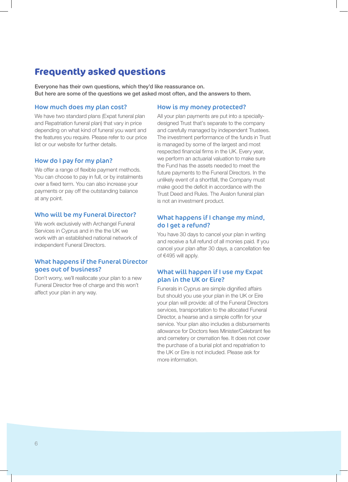# **Frequently asked questions**

Everyone has their own questions, which they'd like reassurance on. But here are some of the questions we get asked most often, and the answers to them.

#### How much does my plan cost?

We have two standard plans (Expat funeral plan and Repatriation funeral plan) that vary in price depending on what kind of funeral you want and the features you require. Please refer to our price list or our website for further details.

## How do I pay for my plan?

We offer a range of flexible payment methods. You can choose to pay in full, or by instalments over a fixed term. You can also increase your payments or pay off the outstanding balance at any point.

#### Who will be my Funeral Director?

We work exclusively with Archangel Funeral Services in Cyprus and in the the UK we work with an established national network of independent Funeral Directors.

#### What happens if the Funeral Director goes out of business?

Don't worry, we'll reallocate your plan to a new Funeral Director free of charge and this won't affect your plan in any way.

#### How is my money protected?

All your plan payments are put into a speciallydesigned Trust that's separate to the company and carefully managed by independent Trustees. The investment performance of the funds in Trust is managed by some of the largest and most respected financial firms in the UK. Every year, we perform an actuarial valuation to make sure the Fund has the assets needed to meet the future payments to the Funeral Directors. In the unlikely event of a shortfall, the Company must make good the deficit in accordance with the Trust Deed and Rules. The Avalon funeral plan is not an investment product.

# What happens if I change my mind, do I get a refund?

You have 30 days to cancel your plan in writing and receive a full refund of all monies paid. If you cancel your plan after 30 days, a cancellation fee of €495 will apply.

# What will happen if I use my Expat plan in the UK or Eire?

Funerals in Cyprus are simple dignified affairs but should you use your plan in the UK or Eire your plan will provide: all of the Funeral Directors services, transportation to the allocated Funeral Director, a hearse and a simple coffin for your service. Your plan also includes a disbursements allowance for Doctors fees Minister/Celebrant fee and cemetery or cremation fee. It does not cover the purchase of a burial plot and repatriation to the UK or Eire is not included. Please ask for more information.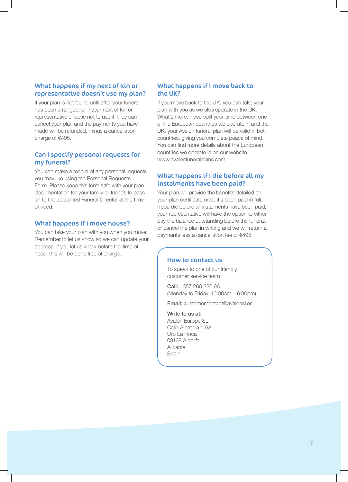# What happens if my next of kin or representative doesn't use my plan?

If your plan is not found until after your funeral has been arranged, or if your next of kin or representative choose not to use it, they can cancel your plan and the payments you have made will be refunded, minus a cancellation charge of €495.

# Can I specify personal requests for my funeral?

You can make a record of any personal requests you may like using the Personal Requests Form. Please keep this form safe with your plan documentation for your family or friends to pass on to the appointed Funeral Director at the time of need.

# What happens if I move house?

You can take your plan with you when you move. Remember to let us know so we can update your address. If you let us know before the time of need, this will be done free of charge.

## What happens if I move back to the UK?

If you move back to the UK, you can take your plan with you as we also operate in the UK. What's more, if you split your time between one of the European countries we operate in and the UK, your Avalon funeral plan will be valid in both countries, giving you complete peace of mind. You can find more details about the European countries we operate in on our website www.avalonfuneralplans.com

# What happens if I die before all my instalments have been paid?

Your plan will provide the benefits detailed on your plan certificate once it's been paid in full. If you die before all instalments have been paid, your representative will have the option to either pay the balance outstanding before the funeral, or cancel the plan in writing and we will return all payments less a cancellation fee of €495.

# How to contact us

To speak to one of our friendly customer service team

Call: +357 260 226 96 (Monday to Friday, 10:00am – 6:30pm)

Email: customercontact@avalonsl.es

#### Write to us at:

Avalon Europe SL Calle Albatera 1-68 Urb La Finca 03169 Algorfa Alicante Spain